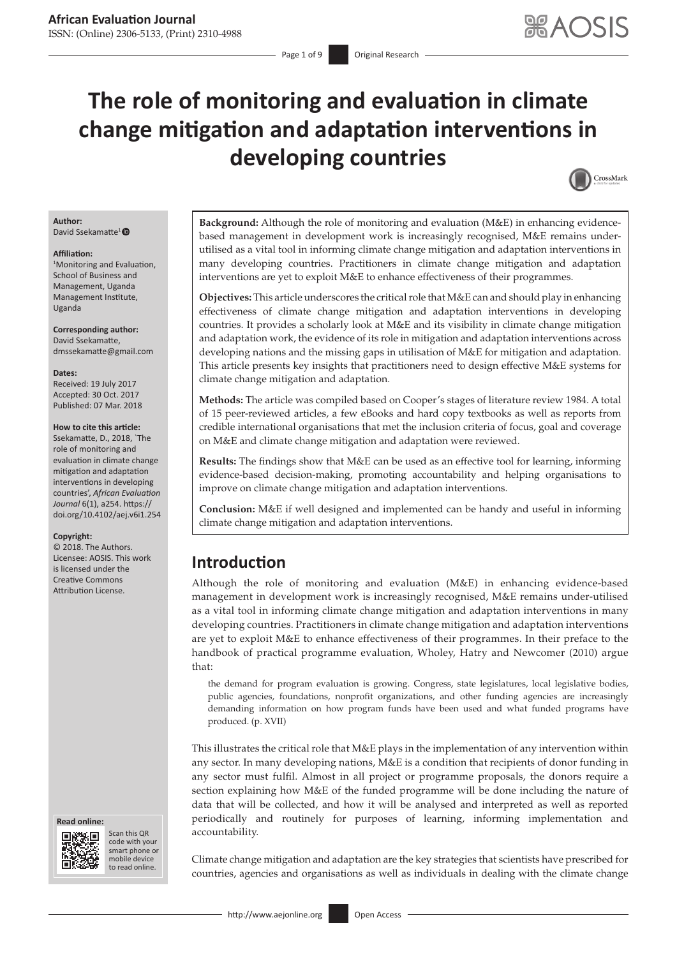# **The role of monitoring and evaluation in climate change mitigation and adaptation interventions in developing countries**



#### **Author:** David Ssekamatte<sup>1</sup><sup>®</sup>

#### **Affiliation:**

1 Monitoring and Evaluation, School of Business and Management, Uganda Management Institute, Uganda

**Corresponding author:** David Ssekamatte, [dmssekamatte@gmail.com](mailto:dmssekamatte@gmail.com)

#### **Dates:**

Received: 19 July 2017 Accepted: 30 Oct. 2017 Published: 07 Mar. 2018

#### **How to cite this article:**

Ssekamatte, D., 2018, `The role of monitoring and evaluation in climate change mitigation and adaptation interventions in developing countries', *African Evaluation Journal* 6(1), a254. https:// doi.org/10.4102/aej.v6i1.254

#### **Copyright:**

© 2018. The Authors. Licensee: AOSIS. This work is licensed under the Creative Commons Attribution License.





Scan this QR code with your Scan this QR<br>code with your<br>smart phone or<br>mobile device mobile device to read online. to read online.

**Background:** Although the role of monitoring and evaluation (M&E) in enhancing evidencebased management in development work is increasingly recognised, M&E remains underutilised as a vital tool in informing climate change mitigation and adaptation interventions in many developing countries. Practitioners in climate change mitigation and adaptation interventions are yet to exploit M&E to enhance effectiveness of their programmes.

**Objectives:** This article underscores the critical role that M&E can and should play in enhancing effectiveness of climate change mitigation and adaptation interventions in developing countries. It provides a scholarly look at M&E and its visibility in climate change mitigation and adaptation work, the evidence of its role in mitigation and adaptation interventions across developing nations and the missing gaps in utilisation of M&E for mitigation and adaptation. This article presents key insights that practitioners need to design effective M&E systems for climate change mitigation and adaptation.

**Methods:** The article was compiled based on Cooper's stages of literature review 1984. A total of 15 peer-reviewed articles, a few eBooks and hard copy textbooks as well as reports from credible international organisations that met the inclusion criteria of focus, goal and coverage on M&E and climate change mitigation and adaptation were reviewed.

**Results:** The findings show that M&E can be used as an effective tool for learning, informing evidence-based decision-making, promoting accountability and helping organisations to improve on climate change mitigation and adaptation interventions.

**Conclusion:** M&E if well designed and implemented can be handy and useful in informing climate change mitigation and adaptation interventions.

### **Introduction**

Although the role of monitoring and evaluation (M&E) in enhancing evidence-based management in development work is increasingly recognised, M&E remains under-utilised as a vital tool in informing climate change mitigation and adaptation interventions in many developing countries. Practitioners in climate change mitigation and adaptation interventions are yet to exploit M&E to enhance effectiveness of their programmes. In their preface to the handbook of practical programme evaluation, Wholey, Hatry and Newcomer (2010) argue that:

the demand for program evaluation is growing. Congress, state legislatures, local legislative bodies, public agencies, foundations, nonprofit organizations, and other funding agencies are increasingly demanding information on how program funds have been used and what funded programs have produced. (p. XVII)

This illustrates the critical role that  $M\&E$  plays in the implementation of any intervention within any sector. In many developing nations, M&E is a condition that recipients of donor funding in any sector must fulfil. Almost in all project or programme proposals, the donors require a section explaining how M&E of the funded programme will be done including the nature of data that will be collected, and how it will be analysed and interpreted as well as reported periodically and routinely for purposes of learning, informing implementation and accountability.

Climate change mitigation and adaptation are the key strategies that scientists have prescribed for countries, agencies and organisations as well as individuals in dealing with the climate change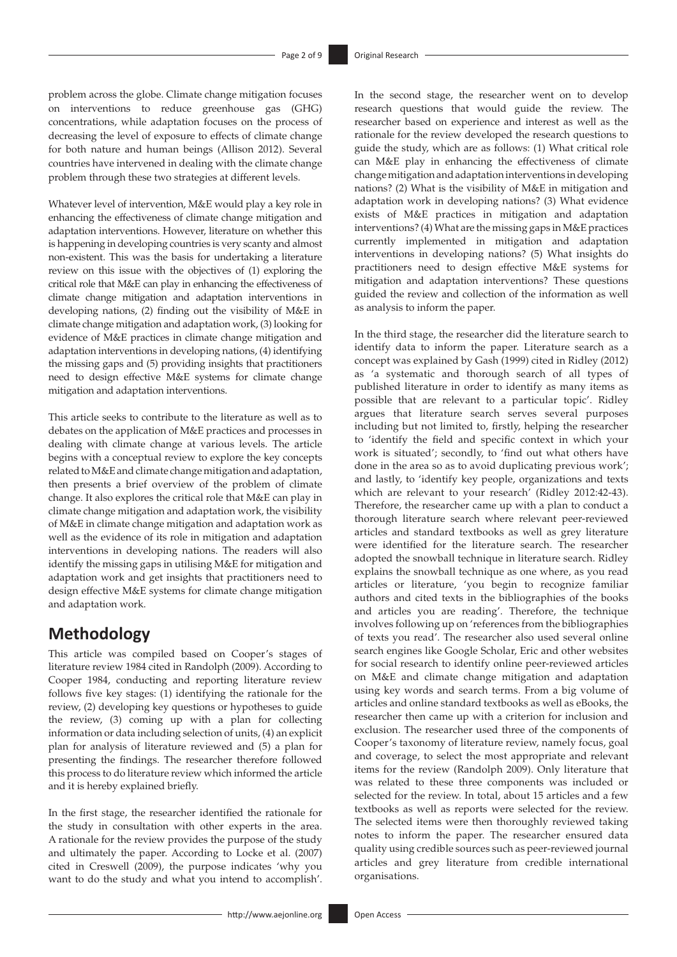problem across the globe. Climate change mitigation focuses on interventions to reduce greenhouse gas (GHG) concentrations, while adaptation focuses on the process of decreasing the level of exposure to effects of climate change for both nature and human beings (Allison 2012). Several countries have intervened in dealing with the climate change problem through these two strategies at different levels.

Whatever level of intervention, M&E would play a key role in enhancing the effectiveness of climate change mitigation and adaptation interventions. However, literature on whether this is happening in developing countries is very scanty and almost non-existent. This was the basis for undertaking a literature review on this issue with the objectives of (1) exploring the critical role that M&E can play in enhancing the effectiveness of climate change mitigation and adaptation interventions in developing nations, (2) finding out the visibility of M&E in climate change mitigation and adaptation work, (3) looking for evidence of M&E practices in climate change mitigation and adaptation interventions in developing nations, (4) identifying the missing gaps and (5) providing insights that practitioners need to design effective M&E systems for climate change mitigation and adaptation interventions.

This article seeks to contribute to the literature as well as to debates on the application of M&E practices and processes in dealing with climate change at various levels. The article begins with a conceptual review to explore the key concepts related to M&E and climate change mitigation and adaptation, then presents a brief overview of the problem of climate change. It also explores the critical role that M&E can play in climate change mitigation and adaptation work, the visibility of M&E in climate change mitigation and adaptation work as well as the evidence of its role in mitigation and adaptation interventions in developing nations. The readers will also identify the missing gaps in utilising M&E for mitigation and adaptation work and get insights that practitioners need to design effective M&E systems for climate change mitigation and adaptation work.

# **Methodology**

This article was compiled based on Cooper's stages of literature review 1984 cited in Randolph (2009). According to Cooper 1984, conducting and reporting literature review follows five key stages: (1) identifying the rationale for the review, (2) developing key questions or hypotheses to guide the review, (3) coming up with a plan for collecting information or data including selection of units, (4) an explicit plan for analysis of literature reviewed and (5) a plan for presenting the findings. The researcher therefore followed this process to do literature review which informed the article and it is hereby explained briefly.

In the first stage, the researcher identified the rationale for the study in consultation with other experts in the area. A rationale for the review provides the purpose of the study and ultimately the paper. According to Locke et al. (2007) cited in Creswell (2009), the purpose indicates 'why you want to do the study and what you intend to accomplish'. In the second stage, the researcher went on to develop research questions that would guide the review. The researcher based on experience and interest as well as the rationale for the review developed the research questions to guide the study, which are as follows: (1) What critical role can M&E play in enhancing the effectiveness of climate change mitigation and adaptation interventions in developing nations? (2) What is the visibility of M&E in mitigation and adaptation work in developing nations? (3) What evidence exists of M&E practices in mitigation and adaptation interventions? (4) What are the missing gaps in M&E practices currently implemented in mitigation and adaptation interventions in developing nations? (5) What insights do practitioners need to design effective M&E systems for mitigation and adaptation interventions? These questions guided the review and collection of the information as well as analysis to inform the paper.

In the third stage, the researcher did the literature search to identify data to inform the paper. Literature search as a concept was explained by Gash (1999) cited in Ridley (2012) as 'a systematic and thorough search of all types of published literature in order to identify as many items as possible that are relevant to a particular topic'. Ridley argues that literature search serves several purposes including but not limited to, firstly, helping the researcher to 'identify the field and specific context in which your work is situated'; secondly, to 'find out what others have done in the area so as to avoid duplicating previous work'; and lastly, to 'identify key people, organizations and texts which are relevant to your research' (Ridley 2012:42-43). Therefore, the researcher came up with a plan to conduct a thorough literature search where relevant peer-reviewed articles and standard textbooks as well as grey literature were identified for the literature search. The researcher adopted the snowball technique in literature search. Ridley explains the snowball technique as one where, as you read articles or literature, 'you begin to recognize familiar authors and cited texts in the bibliographies of the books and articles you are reading'. Therefore, the technique involves following up on 'references from the bibliographies of texts you read'. The researcher also used several online search engines like Google Scholar, Eric and other websites for social research to identify online peer-reviewed articles on M&E and climate change mitigation and adaptation using key words and search terms. From a big volume of articles and online standard textbooks as well as eBooks, the researcher then came up with a criterion for inclusion and exclusion. The researcher used three of the components of Cooper's taxonomy of literature review, namely focus, goal and coverage, to select the most appropriate and relevant items for the review (Randolph 2009). Only literature that was related to these three components was included or selected for the review. In total, about 15 articles and a few textbooks as well as reports were selected for the review. The selected items were then thoroughly reviewed taking notes to inform the paper. The researcher ensured data quality using credible sources such as peer-reviewed journal articles and grey literature from credible international organisations.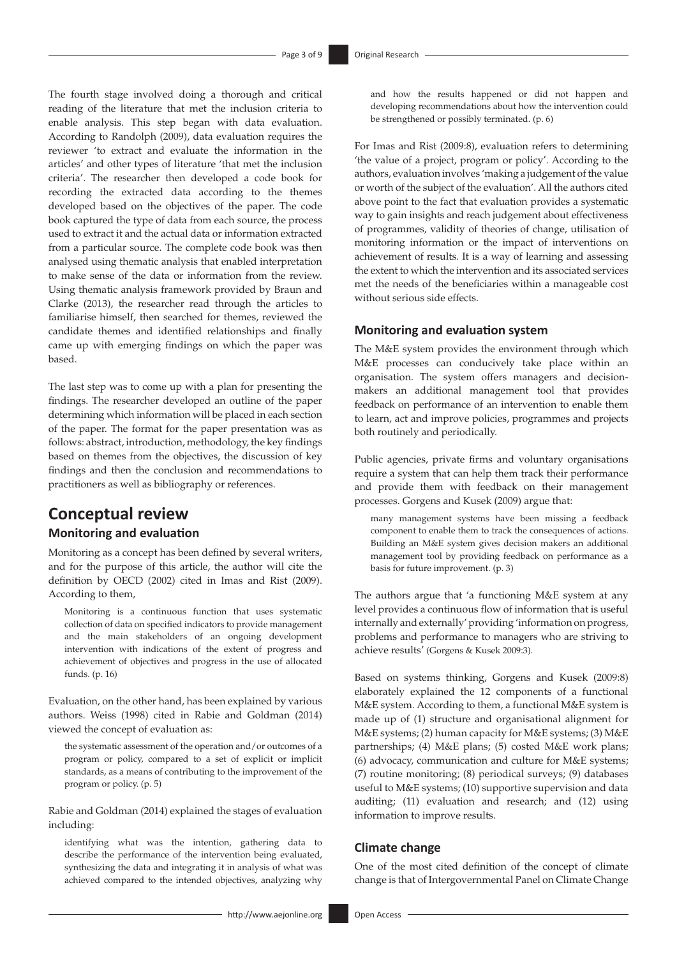The fourth stage involved doing a thorough and critical reading of the literature that met the inclusion criteria to enable analysis. This step began with data evaluation. According to Randolph (2009), data evaluation requires the reviewer 'to extract and evaluate the information in the articles' and other types of literature 'that met the inclusion criteria'. The researcher then developed a code book for recording the extracted data according to the themes developed based on the objectives of the paper. The code book captured the type of data from each source, the process used to extract it and the actual data or information extracted from a particular source. The complete code book was then analysed using thematic analysis that enabled interpretation to make sense of the data or information from the review. Using thematic analysis framework provided by Braun and Clarke (2013), the researcher read through the articles to familiarise himself, then searched for themes, reviewed the candidate themes and identified relationships and finally came up with emerging findings on which the paper was based.

The last step was to come up with a plan for presenting the findings. The researcher developed an outline of the paper determining which information will be placed in each section of the paper. The format for the paper presentation was as follows: abstract, introduction, methodology, the key findings based on themes from the objectives, the discussion of key findings and then the conclusion and recommendations to practitioners as well as bibliography or references.

# **Conceptual review**

### **Monitoring and evaluation**

Monitoring as a concept has been defined by several writers, and for the purpose of this article, the author will cite the definition by OECD (2002) cited in Imas and Rist (2009). According to them,

Monitoring is a continuous function that uses systematic collection of data on specified indicators to provide management and the main stakeholders of an ongoing development intervention with indications of the extent of progress and achievement of objectives and progress in the use of allocated funds. (p. 16)

Evaluation, on the other hand, has been explained by various authors. Weiss (1998) cited in Rabie and Goldman (2014) viewed the concept of evaluation as:

the systematic assessment of the operation and/or outcomes of a program or policy, compared to a set of explicit or implicit standards, as a means of contributing to the improvement of the program or policy. (p. 5)

Rabie and Goldman (2014) explained the stages of evaluation including:

identifying what was the intention, gathering data to describe the performance of the intervention being evaluated, synthesizing the data and integrating it in analysis of what was achieved compared to the intended objectives, analyzing why

and how the results happened or did not happen and developing recommendations about how the intervention could be strengthened or possibly terminated. (p. 6)

For Imas and Rist (2009:8), evaluation refers to determining 'the value of a project, program or policy'. According to the authors, evaluation involves 'making a judgement of the value or worth of the subject of the evaluation'. All the authors cited above point to the fact that evaluation provides a systematic way to gain insights and reach judgement about effectiveness of programmes, validity of theories of change, utilisation of monitoring information or the impact of interventions on achievement of results. It is a way of learning and assessing the extent to which the intervention and its associated services met the needs of the beneficiaries within a manageable cost without serious side effects.

### **Monitoring and evaluation system**

The M&E system provides the environment through which M&E processes can conducively take place within an organisation. The system offers managers and decisionmakers an additional management tool that provides feedback on performance of an intervention to enable them to learn, act and improve policies, programmes and projects both routinely and periodically.

Public agencies, private firms and voluntary organisations require a system that can help them track their performance and provide them with feedback on their management processes. Gorgens and Kusek (2009) argue that:

many management systems have been missing a feedback component to enable them to track the consequences of actions. Building an M&E system gives decision makers an additional management tool by providing feedback on performance as a basis for future improvement. (p. 3)

The authors argue that 'a functioning M&E system at any level provides a continuous flow of information that is useful internally and externally' providing 'information on progress, problems and performance to managers who are striving to achieve results' (Gorgens & Kusek 2009:3).

Based on systems thinking, Gorgens and Kusek (2009:8) elaborately explained the 12 components of a functional M&E system. According to them, a functional M&E system is made up of (1) structure and organisational alignment for M&E systems; (2) human capacity for M&E systems; (3) M&E partnerships; (4) M&E plans; (5) costed M&E work plans; (6) advocacy, communication and culture for M&E systems; (7) routine monitoring; (8) periodical surveys; (9) databases useful to M&E systems; (10) supportive supervision and data auditing; (11) evaluation and research; and (12) using information to improve results.

#### **Climate change**

One of the most cited definition of the concept of climate change is that of Intergovernmental Panel on Climate Change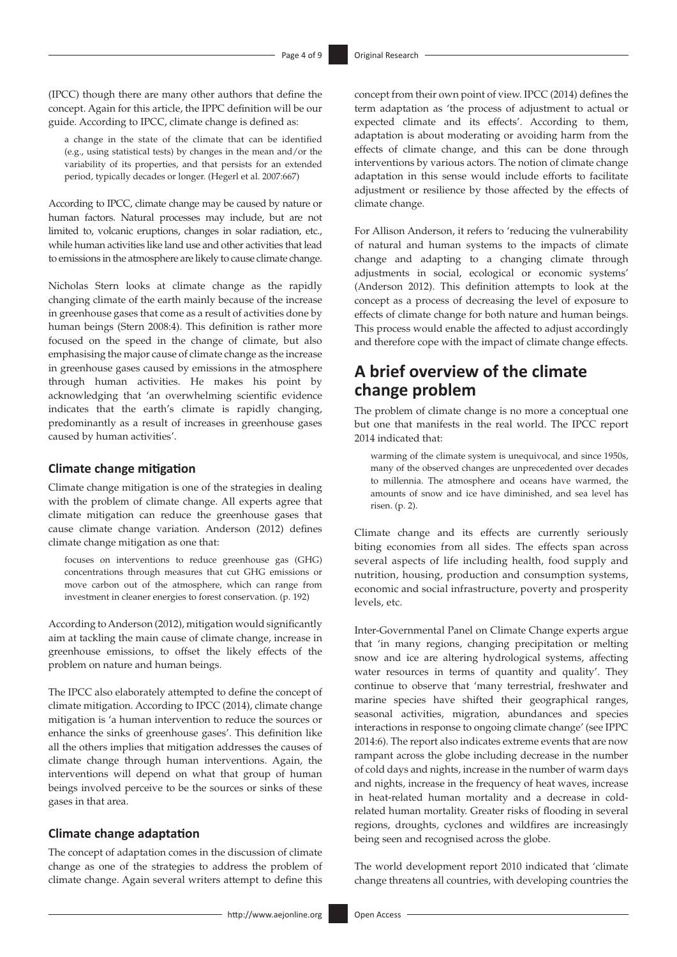(IPCC) though there are many other authors that define the concept. Again for this article, the IPPC definition will be our guide. According to IPCC, climate change is defined as:

a change in the state of the climate that can be identified (e.g., using statistical tests) by changes in the mean and/or the variability of its properties, and that persists for an extended period, typically decades or longer. (Hegerl et al. 2007:667)

According to IPCC, climate change may be caused by nature or human factors. Natural processes may include, but are not limited to, volcanic eruptions, changes in solar radiation, etc., while human activities like land use and other activities that lead to emissions in the atmosphere are likely to cause climate change.

Nicholas Stern looks at climate change as the rapidly changing climate of the earth mainly because of the increase in greenhouse gases that come as a result of activities done by human beings (Stern 2008:4). This definition is rather more focused on the speed in the change of climate, but also emphasising the major cause of climate change as the increase in greenhouse gases caused by emissions in the atmosphere through human activities. He makes his point by acknowledging that 'an overwhelming scientific evidence indicates that the earth's climate is rapidly changing, predominantly as a result of increases in greenhouse gases caused by human activities'.

#### **Climate change mitigation**

Climate change mitigation is one of the strategies in dealing with the problem of climate change. All experts agree that climate mitigation can reduce the greenhouse gases that cause climate change variation. Anderson (2012) defines climate change mitigation as one that:

focuses on interventions to reduce greenhouse gas (GHG) concentrations through measures that cut GHG emissions or move carbon out of the atmosphere, which can range from investment in cleaner energies to forest conservation. (p. 192)

According to Anderson (2012), mitigation would significantly aim at tackling the main cause of climate change, increase in greenhouse emissions, to offset the likely effects of the problem on nature and human beings.

The IPCC also elaborately attempted to define the concept of climate mitigation. According to IPCC (2014), climate change mitigation is 'a human intervention to reduce the sources or enhance the sinks of greenhouse gases'. This definition like all the others implies that mitigation addresses the causes of climate change through human interventions. Again, the interventions will depend on what that group of human beings involved perceive to be the sources or sinks of these gases in that area.

#### **Climate change adaptation**

The concept of adaptation comes in the discussion of climate change as one of the strategies to address the problem of climate change. Again several writers attempt to define this concept from their own point of view. IPCC (2014) defines the term adaptation as 'the process of adjustment to actual or expected climate and its effects'. According to them, adaptation is about moderating or avoiding harm from the effects of climate change, and this can be done through interventions by various actors. The notion of climate change adaptation in this sense would include efforts to facilitate adjustment or resilience by those affected by the effects of climate change.

For Allison Anderson, it refers to 'reducing the vulnerability of natural and human systems to the impacts of climate change and adapting to a changing climate through adjustments in social, ecological or economic systems' (Anderson 2012). This definition attempts to look at the concept as a process of decreasing the level of exposure to effects of climate change for both nature and human beings. This process would enable the affected to adjust accordingly and therefore cope with the impact of climate change effects.

# **A brief overview of the climate change problem**

The problem of climate change is no more a conceptual one but one that manifests in the real world. The IPCC report 2014 indicated that:

warming of the climate system is unequivocal, and since 1950s, many of the observed changes are unprecedented over decades to millennia. The atmosphere and oceans have warmed, the amounts of snow and ice have diminished, and sea level has risen. (p. 2).

Climate change and its effects are currently seriously biting economies from all sides. The effects span across several aspects of life including health, food supply and nutrition, housing, production and consumption systems, economic and social infrastructure, poverty and prosperity levels, etc.

Inter-Governmental Panel on Climate Change experts argue that 'in many regions, changing precipitation or melting snow and ice are altering hydrological systems, affecting water resources in terms of quantity and quality'. They continue to observe that 'many terrestrial, freshwater and marine species have shifted their geographical ranges, seasonal activities, migration, abundances and species interactions in response to ongoing climate change' (see IPPC 2014:6). The report also indicates extreme events that are now rampant across the globe including decrease in the number of cold days and nights, increase in the number of warm days and nights, increase in the frequency of heat waves, increase in heat-related human mortality and a decrease in coldrelated human mortality. Greater risks of flooding in several regions, droughts, cyclones and wildfires are increasingly being seen and recognised across the globe.

The world development report 2010 indicated that 'climate change threatens all countries, with developing countries the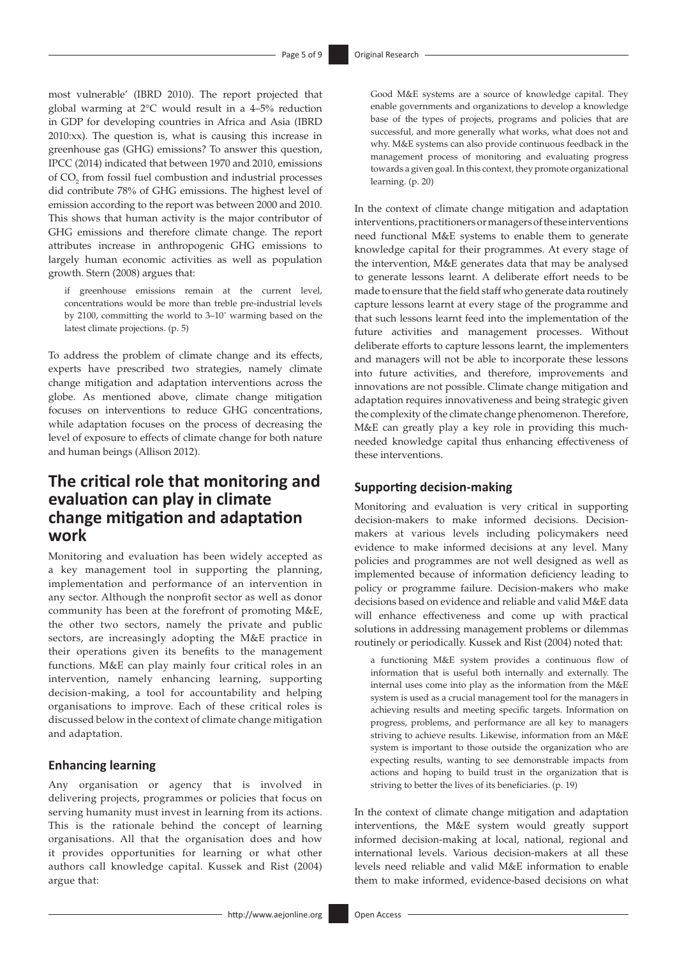most vulnerable' (IBRD 2010). The report projected that global warming at 2°C would result in a 4–5% reduction in GDP for developing countries in Africa and Asia (IBRD 2010:xx). The question is, what is causing this increase in greenhouse gas (GHG) emissions? To answer this question, IPCC (2014) indicated that between 1970 and 2010, emissions of  $CO_2$  from fossil fuel combustion and industrial processes did contribute 78% of GHG emissions. The highest level of emission according to the report was between 2000 and 2010. This shows that human activity is the major contributor of GHG emissions and therefore climate change. The report attributes increase in anthropogenic GHG emissions to largely human economic activities as well as population growth. Stern (2008) argues that:

if greenhouse emissions remain at the current level, concentrations would be more than treble pre-industrial levels by 2100, committing the world to 3–10˚ warming based on the latest climate projections. (p. 5)

To address the problem of climate change and its effects, experts have prescribed two strategies, namely climate change mitigation and adaptation interventions across the globe. As mentioned above, climate change mitigation focuses on interventions to reduce GHG concentrations, while adaptation focuses on the process of decreasing the level of exposure to effects of climate change for both nature and human beings (Allison 2012).

### **The critical role that monitoring and evaluation can play in climate change mitigation and adaptation work**

Monitoring and evaluation has been widely accepted as a key management tool in supporting the planning, implementation and performance of an intervention in any sector. Although the nonprofit sector as well as donor community has been at the forefront of promoting M&E, the other two sectors, namely the private and public sectors, are increasingly adopting the M&E practice in their operations given its benefits to the management functions. M&E can play mainly four critical roles in an intervention, namely enhancing learning, supporting decision-making, a tool for accountability and helping organisations to improve. Each of these critical roles is discussed below in the context of climate change mitigation and adaptation.

#### **Enhancing learning**

Any organisation or agency that is involved in delivering projects, programmes or policies that focus on serving humanity must invest in learning from its actions. This is the rationale behind the concept of learning organisations. All that the organisation does and how it provides opportunities for learning or what other authors call knowledge capital. Kussek and Rist (2004) argue that:

Good M&E systems are a source of knowledge capital. They enable governments and organizations to develop a knowledge base of the types of projects, programs and policies that are successful, and more generally what works, what does not and why. M&E systems can also provide continuous feedback in the management process of monitoring and evaluating progress towards a given goal. In this context, they promote organizational learning. (p. 20)

In the context of climate change mitigation and adaptation interventions, practitioners or managers of these interventions need functional M&E systems to enable them to generate knowledge capital for their programmes. At every stage of the intervention, M&E generates data that may be analysed to generate lessons learnt. A deliberate effort needs to be made to ensure that the field staff who generate data routinely capture lessons learnt at every stage of the programme and that such lessons learnt feed into the implementation of the future activities and management processes. Without deliberate efforts to capture lessons learnt, the implementers and managers will not be able to incorporate these lessons into future activities, and therefore, improvements and innovations are not possible. Climate change mitigation and adaptation requires innovativeness and being strategic given the complexity of the climate change phenomenon. Therefore, M&E can greatly play a key role in providing this muchneeded knowledge capital thus enhancing effectiveness of these interventions.

#### **Supporting decision-making**

Monitoring and evaluation is very critical in supporting decision-makers to make informed decisions. Decisionmakers at various levels including policymakers need evidence to make informed decisions at any level. Many policies and programmes are not well designed as well as implemented because of information deficiency leading to policy or programme failure. Decision-makers who make decisions based on evidence and reliable and valid M&E data will enhance effectiveness and come up with practical solutions in addressing management problems or dilemmas routinely or periodically. Kussek and Rist (2004) noted that:

a functioning M&E system provides a continuous flow of information that is useful both internally and externally. The internal uses come into play as the information from the M&E system is used as a crucial management tool for the managers in achieving results and meeting specific targets. Information on progress, problems, and performance are all key to managers striving to achieve results. Likewise, information from an M&E system is important to those outside the organization who are expecting results, wanting to see demonstrable impacts from actions and hoping to build trust in the organization that is striving to better the lives of its beneficiaries. (p. 19)

In the context of climate change mitigation and adaptation interventions, the M&E system would greatly support informed decision-making at local, national, regional and international levels. Various decision-makers at all these levels need reliable and valid M&E information to enable them to make informed, evidence-based decisions on what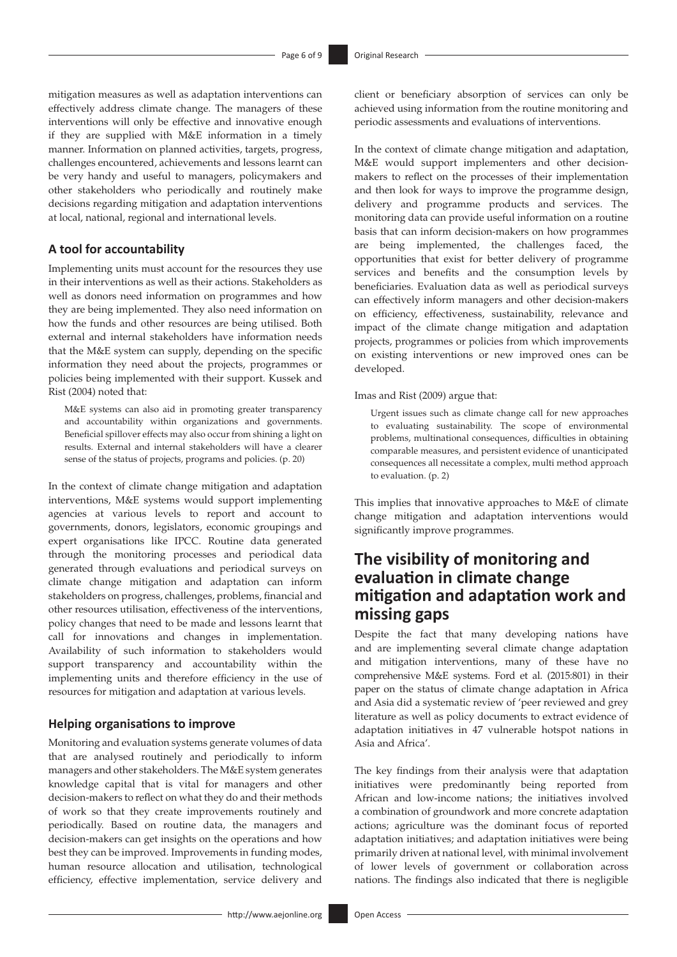mitigation measures as well as adaptation interventions can effectively address climate change. The managers of these interventions will only be effective and innovative enough if they are supplied with M&E information in a timely manner. Information on planned activities, targets, progress, challenges encountered, achievements and lessons learnt can be very handy and useful to managers, policymakers and other stakeholders who periodically and routinely make decisions regarding mitigation and adaptation interventions at local, national, regional and international levels.

#### **A tool for accountability**

Implementing units must account for the resources they use in their interventions as well as their actions. Stakeholders as well as donors need information on programmes and how they are being implemented. They also need information on how the funds and other resources are being utilised. Both external and internal stakeholders have information needs that the M&E system can supply, depending on the specific information they need about the projects, programmes or policies being implemented with their support. Kussek and Rist (2004) noted that:

M&E systems can also aid in promoting greater transparency and accountability within organizations and governments. Beneficial spillover effects may also occur from shining a light on results. External and internal stakeholders will have a clearer sense of the status of projects, programs and policies. (p. 20)

In the context of climate change mitigation and adaptation interventions, M&E systems would support implementing agencies at various levels to report and account to governments, donors, legislators, economic groupings and expert organisations like IPCC. Routine data generated through the monitoring processes and periodical data generated through evaluations and periodical surveys on climate change mitigation and adaptation can inform stakeholders on progress, challenges, problems, financial and other resources utilisation, effectiveness of the interventions, policy changes that need to be made and lessons learnt that call for innovations and changes in implementation. Availability of such information to stakeholders would support transparency and accountability within the implementing units and therefore efficiency in the use of resources for mitigation and adaptation at various levels.

#### **Helping organisations to improve**

Monitoring and evaluation systems generate volumes of data that are analysed routinely and periodically to inform managers and other stakeholders. The M&E system generates knowledge capital that is vital for managers and other decision-makers to reflect on what they do and their methods of work so that they create improvements routinely and periodically. Based on routine data, the managers and decision-makers can get insights on the operations and how best they can be improved. Improvements in funding modes, human resource allocation and utilisation, technological efficiency, effective implementation, service delivery and

client or beneficiary absorption of services can only be achieved using information from the routine monitoring and periodic assessments and evaluations of interventions.

In the context of climate change mitigation and adaptation, M&E would support implementers and other decisionmakers to reflect on the processes of their implementation and then look for ways to improve the programme design, delivery and programme products and services. The monitoring data can provide useful information on a routine basis that can inform decision-makers on how programmes are being implemented, the challenges faced, the opportunities that exist for better delivery of programme services and benefits and the consumption levels by beneficiaries. Evaluation data as well as periodical surveys can effectively inform managers and other decision-makers on efficiency, effectiveness, sustainability, relevance and impact of the climate change mitigation and adaptation projects, programmes or policies from which improvements on existing interventions or new improved ones can be developed.

Imas and Rist (2009) argue that:

Urgent issues such as climate change call for new approaches to evaluating sustainability. The scope of environmental problems, multinational consequences, difficulties in obtaining comparable measures, and persistent evidence of unanticipated consequences all necessitate a complex, multi method approach to evaluation. (p. 2)

This implies that innovative approaches to M&E of climate change mitigation and adaptation interventions would significantly improve programmes.

# **The visibility of monitoring and evaluation in climate change mitigation and adaptation work and missing gaps**

Despite the fact that many developing nations have and are implementing several climate change adaptation and mitigation interventions, many of these have no comprehensive M&E systems. Ford et al. (2015:801) in their paper on the status of climate change adaptation in Africa and Asia did a systematic review of 'peer reviewed and grey literature as well as policy documents to extract evidence of adaptation initiatives in 47 vulnerable hotspot nations in Asia and Africa'.

The key findings from their analysis were that adaptation initiatives were predominantly being reported from African and low-income nations; the initiatives involved a combination of groundwork and more concrete adaptation actions; agriculture was the dominant focus of reported adaptation initiatives; and adaptation initiatives were being primarily driven at national level, with minimal involvement of lower levels of government or collaboration across nations. The findings also indicated that there is negligible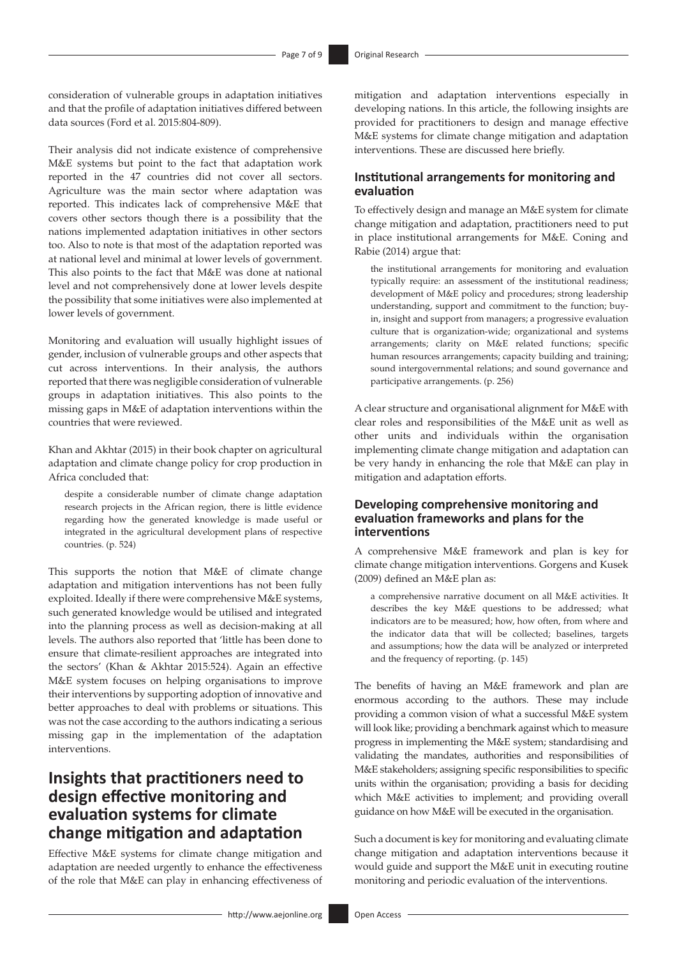consideration of vulnerable groups in adaptation initiatives and that the profile of adaptation initiatives differed between data sources (Ford et al. 2015:804-809).

Their analysis did not indicate existence of comprehensive M&E systems but point to the fact that adaptation work reported in the 47 countries did not cover all sectors. Agriculture was the main sector where adaptation was reported. This indicates lack of comprehensive M&E that covers other sectors though there is a possibility that the nations implemented adaptation initiatives in other sectors too. Also to note is that most of the adaptation reported was at national level and minimal at lower levels of government. This also points to the fact that M&E was done at national level and not comprehensively done at lower levels despite the possibility that some initiatives were also implemented at lower levels of government.

Monitoring and evaluation will usually highlight issues of gender, inclusion of vulnerable groups and other aspects that cut across interventions. In their analysis, the authors reported that there was negligible consideration of vulnerable groups in adaptation initiatives. This also points to the missing gaps in M&E of adaptation interventions within the countries that were reviewed.

Khan and Akhtar (2015) in their book chapter on agricultural adaptation and climate change policy for crop production in Africa concluded that:

despite a considerable number of climate change adaptation research projects in the African region, there is little evidence regarding how the generated knowledge is made useful or integrated in the agricultural development plans of respective countries. (p. 524)

This supports the notion that M&E of climate change adaptation and mitigation interventions has not been fully exploited. Ideally if there were comprehensive M&E systems, such generated knowledge would be utilised and integrated into the planning process as well as decision-making at all levels. The authors also reported that 'little has been done to ensure that climate-resilient approaches are integrated into the sectors' (Khan & Akhtar 2015:524). Again an effective M&E system focuses on helping organisations to improve their interventions by supporting adoption of innovative and better approaches to deal with problems or situations. This was not the case according to the authors indicating a serious missing gap in the implementation of the adaptation interventions.

# **Insights that practitioners need to design effective monitoring and evaluation systems for climate change mitigation and adaptation**

Effective M&E systems for climate change mitigation and adaptation are needed urgently to enhance the effectiveness of the role that M&E can play in enhancing effectiveness of mitigation and adaptation interventions especially in developing nations. In this article, the following insights are provided for practitioners to design and manage effective M&E systems for climate change mitigation and adaptation interventions. These are discussed here briefly.

### **Institutional arrangements for monitoring and evaluation**

To effectively design and manage an M&E system for climate change mitigation and adaptation, practitioners need to put in place institutional arrangements for M&E. Coning and Rabie (2014) argue that:

the institutional arrangements for monitoring and evaluation typically require: an assessment of the institutional readiness; development of M&E policy and procedures; strong leadership understanding, support and commitment to the function; buyin, insight and support from managers; a progressive evaluation culture that is organization-wide; organizational and systems arrangements; clarity on M&E related functions; specific human resources arrangements; capacity building and training; sound intergovernmental relations; and sound governance and participative arrangements. (p. 256)

A clear structure and organisational alignment for M&E with clear roles and responsibilities of the M&E unit as well as other units and individuals within the organisation implementing climate change mitigation and adaptation can be very handy in enhancing the role that M&E can play in mitigation and adaptation efforts.

#### **Developing comprehensive monitoring and evaluation frameworks and plans for the interventions**

A comprehensive M&E framework and plan is key for climate change mitigation interventions. Gorgens and Kusek (2009) defined an M&E plan as:

a comprehensive narrative document on all M&E activities. It describes the key M&E questions to be addressed; what indicators are to be measured; how, how often, from where and the indicator data that will be collected; baselines, targets and assumptions; how the data will be analyzed or interpreted and the frequency of reporting. (p. 145)

The benefits of having an M&E framework and plan are enormous according to the authors. These may include providing a common vision of what a successful M&E system will look like; providing a benchmark against which to measure progress in implementing the M&E system; standardising and validating the mandates, authorities and responsibilities of M&E stakeholders; assigning specific responsibilities to specific units within the organisation; providing a basis for deciding which M&E activities to implement; and providing overall guidance on how M&E will be executed in the organisation.

Such a document is key for monitoring and evaluating climate change mitigation and adaptation interventions because it would guide and support the M&E unit in executing routine monitoring and periodic evaluation of the interventions.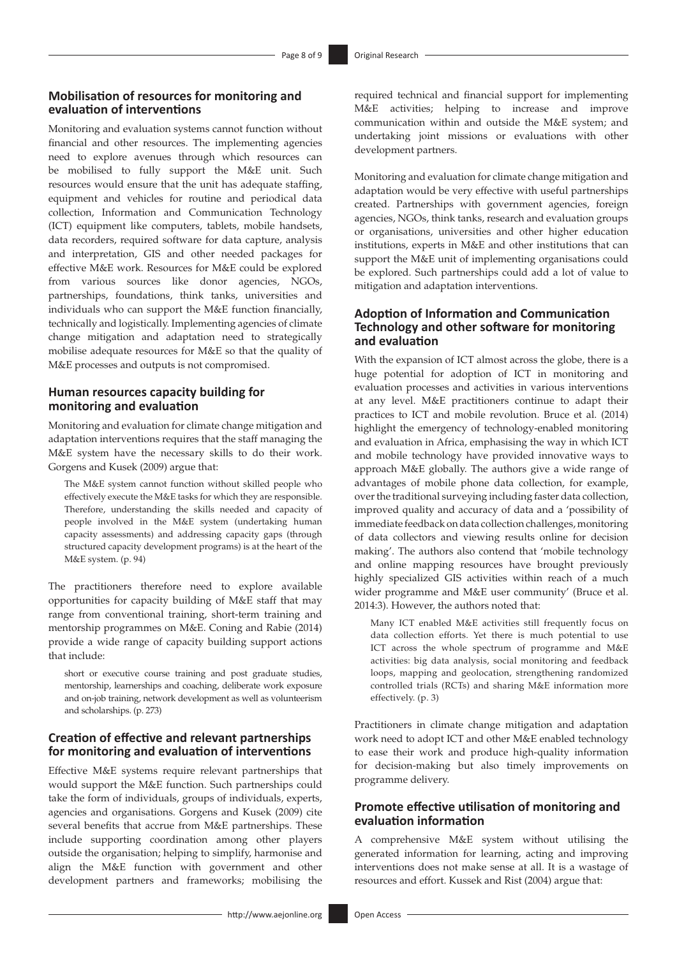### **Mobilisation of resources for monitoring and evaluation of interventions**

Monitoring and evaluation systems cannot function without financial and other resources. The implementing agencies need to explore avenues through which resources can be mobilised to fully support the M&E unit. Such resources would ensure that the unit has adequate staffing, equipment and vehicles for routine and periodical data collection, Information and Communication Technology (ICT) equipment like computers, tablets, mobile handsets, data recorders, required software for data capture, analysis and interpretation, GIS and other needed packages for effective M&E work. Resources for M&E could be explored from various sources like donor agencies, NGOs, partnerships, foundations, think tanks, universities and individuals who can support the M&E function financially, technically and logistically. Implementing agencies of climate change mitigation and adaptation need to strategically mobilise adequate resources for M&E so that the quality of M&E processes and outputs is not compromised.

### **Human resources capacity building for monitoring and evaluation**

Monitoring and evaluation for climate change mitigation and adaptation interventions requires that the staff managing the M&E system have the necessary skills to do their work. Gorgens and Kusek (2009) argue that:

The M&E system cannot function without skilled people who effectively execute the M&E tasks for which they are responsible. Therefore, understanding the skills needed and capacity of people involved in the M&E system (undertaking human capacity assessments) and addressing capacity gaps (through structured capacity development programs) is at the heart of the M&E system. (p. 94)

The practitioners therefore need to explore available opportunities for capacity building of M&E staff that may range from conventional training, short-term training and mentorship programmes on M&E. Coning and Rabie (2014) provide a wide range of capacity building support actions that include:

short or executive course training and post graduate studies, mentorship, learnerships and coaching, deliberate work exposure and on-job training, network development as well as volunteerism and scholarships. (p. 273)

#### **Creation of effective and relevant partnerships for monitoring and evaluation of interventions**

Effective M&E systems require relevant partnerships that would support the M&E function. Such partnerships could take the form of individuals, groups of individuals, experts, agencies and organisations. Gorgens and Kusek (2009) cite several benefits that accrue from M&E partnerships. These include supporting coordination among other players outside the organisation; helping to simplify, harmonise and align the M&E function with government and other development partners and frameworks; mobilising the required technical and financial support for implementing M&E activities; helping to increase and improve communication within and outside the M&E system; and undertaking joint missions or evaluations with other development partners.

Monitoring and evaluation for climate change mitigation and adaptation would be very effective with useful partnerships created. Partnerships with government agencies, foreign agencies, NGOs, think tanks, research and evaluation groups or organisations, universities and other higher education institutions, experts in M&E and other institutions that can support the M&E unit of implementing organisations could be explored. Such partnerships could add a lot of value to mitigation and adaptation interventions.

### **Adoption of Information and Communication Technology and other software for monitoring and evaluation**

With the expansion of ICT almost across the globe, there is a huge potential for adoption of ICT in monitoring and evaluation processes and activities in various interventions at any level. M&E practitioners continue to adapt their practices to ICT and mobile revolution. Bruce et al. (2014) highlight the emergency of technology-enabled monitoring and evaluation in Africa, emphasising the way in which ICT and mobile technology have provided innovative ways to approach M&E globally. The authors give a wide range of advantages of mobile phone data collection, for example, over the traditional surveying including faster data collection, improved quality and accuracy of data and a 'possibility of immediate feedback on data collection challenges, monitoring of data collectors and viewing results online for decision making'. The authors also contend that 'mobile technology and online mapping resources have brought previously highly specialized GIS activities within reach of a much wider programme and M&E user community' (Bruce et al. 2014:3). However, the authors noted that:

Many ICT enabled M&E activities still frequently focus on data collection efforts. Yet there is much potential to use ICT across the whole spectrum of programme and M&E activities: big data analysis, social monitoring and feedback loops, mapping and geolocation, strengthening randomized controlled trials (RCTs) and sharing M&E information more effectively. (p. 3)

Practitioners in climate change mitigation and adaptation work need to adopt ICT and other M&E enabled technology to ease their work and produce high-quality information for decision-making but also timely improvements on programme delivery.

### **Promote effective utilisation of monitoring and evaluation information**

A comprehensive M&E system without utilising the generated information for learning, acting and improving interventions does not make sense at all. It is a wastage of resources and effort. Kussek and Rist (2004) argue that: